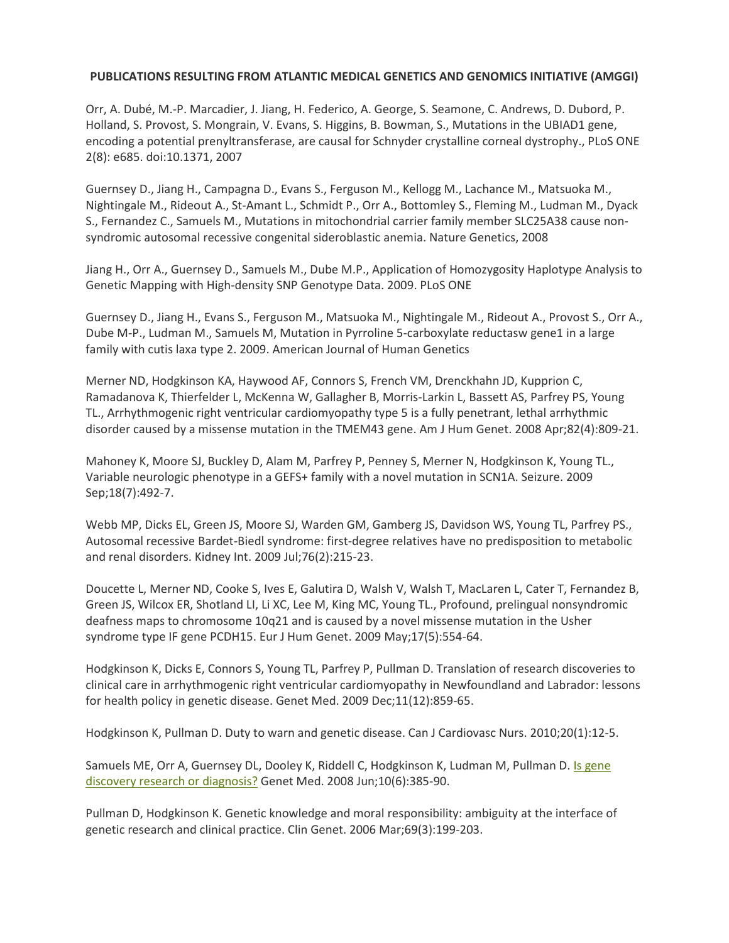## **PUBLICATIONS RESULTING FROM ATLANTIC MEDICAL GENETICS AND GENOMICS INITIATIVE (AMGGI)**

Orr, A. Dubé, M.-P. Marcadier, J. Jiang, H. Federico, A. George, S. Seamone, C. Andrews, D. Dubord, P. Holland, S. Provost, S. Mongrain, V. Evans, S. Higgins, B. Bowman, S., Mutations in the UBIAD1 gene, encoding a potential prenyltransferase, are causal for Schnyder crystalline corneal dystrophy., PLoS ONE 2(8): e685. doi:10.1371, 2007

Guernsey D., Jiang H., Campagna D., Evans S., Ferguson M., Kellogg M., Lachance M., Matsuoka M., Nightingale M., Rideout A., St-Amant L., Schmidt P., Orr A., Bottomley S., Fleming M., Ludman M., Dyack S., Fernandez C., Samuels M., Mutations in mitochondrial carrier family member SLC25A38 cause nonsyndromic autosomal recessive congenital sideroblastic anemia. Nature Genetics, 2008

Jiang H., Orr A., Guernsey D., Samuels M., Dube M.P., Application of Homozygosity Haplotype Analysis to Genetic Mapping with High-density SNP Genotype Data. 2009. PLoS ONE

Guernsey D., Jiang H., Evans S., Ferguson M., Matsuoka M., Nightingale M., Rideout A., Provost S., Orr A., Dube M-P., Ludman M., Samuels M, Mutation in Pyrroline 5-carboxylate reductasw gene1 in a large family with cutis laxa type 2. 2009. American Journal of Human Genetics

Merner ND, Hodgkinson KA, Haywood AF, Connors S, French VM, Drenckhahn JD, Kupprion C, Ramadanova K, Thierfelder L, McKenna W, Gallagher B, Morris-Larkin L, Bassett AS, Parfrey PS, Young TL., Arrhythmogenic right ventricular cardiomyopathy type 5 is a fully penetrant, lethal arrhythmic disorder caused by a missense mutation in the TMEM43 gene. Am J Hum Genet. 2008 Apr;82(4):809-21.

Mahoney K, Moore SJ, Buckley D, Alam M, Parfrey P, Penney S, Merner N, Hodgkinson K, Young TL., Variable neurologic phenotype in a GEFS+ family with a novel mutation in SCN1A. Seizure. 2009 Sep;18(7):492-7.

Webb MP, Dicks EL, Green JS, Moore SJ, Warden GM, Gamberg JS, Davidson WS, Young TL, Parfrey PS., Autosomal recessive Bardet-Biedl syndrome: first-degree relatives have no predisposition to metabolic and renal disorders. Kidney Int. 2009 Jul;76(2):215-23.

Doucette L, Merner ND, Cooke S, Ives E, Galutira D, Walsh V, Walsh T, MacLaren L, Cater T, Fernandez B, Green JS, Wilcox ER, Shotland LI, Li XC, Lee M, King MC, Young TL., Profound, prelingual nonsyndromic deafness maps to chromosome 10q21 and is caused by a novel missense mutation in the Usher syndrome type IF gene PCDH15. Eur J Hum Genet. 2009 May;17(5):554-64.

Hodgkinson K, Dicks E, Connors S, Young TL, Parfrey P, Pullman D. Translation of research discoveries to clinical care in arrhythmogenic right ventricular cardiomyopathy in Newfoundland and Labrador: lessons for health policy in genetic disease. Genet Med. 2009 Dec;11(12):859-65.

Hodgkinson K, Pullman D. Duty to warn and genetic disease. Can J Cardiovasc Nurs. 2010;20(1):12-5.

Samuels ME, Orr A, Guernsey DL, Dooley K, Riddell C, Hodgkinson K, Ludman M, Pullman D. Is gene [discovery research or diagnosis?](http://www.genomeatlantic.ca/app/webroot/UserFiles/IsGeneDiscoveryResearchorDiagnosis.pdf) Genet Med. 2008 Jun;10(6):385-90.

Pullman D, Hodgkinson K. Genetic knowledge and moral responsibility: ambiguity at the interface of genetic research and clinical practice. Clin Genet. 2006 Mar;69(3):199-203.